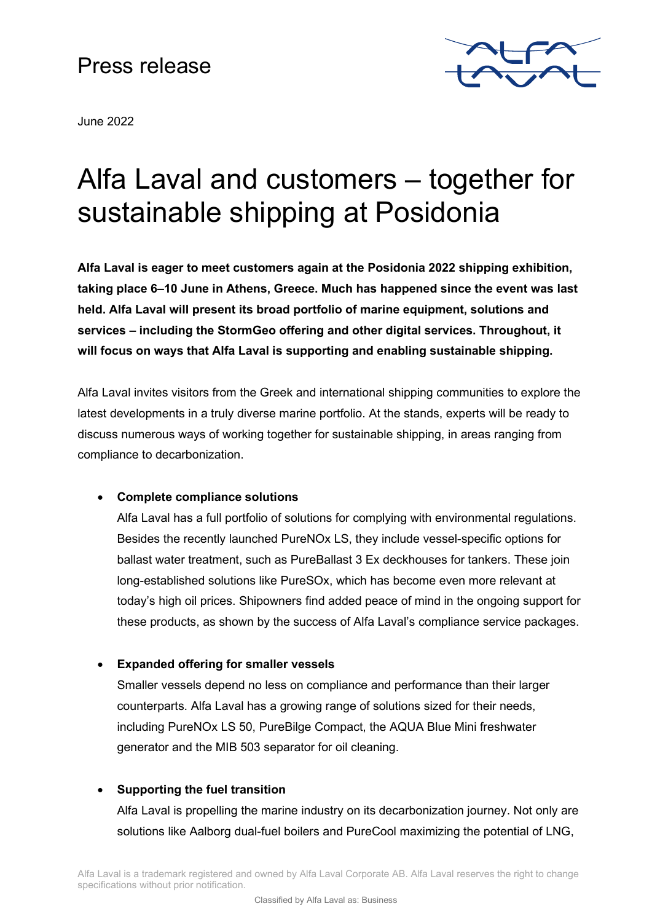# Press release





# Alfa Laval and customers – together for sustainable shipping at Posidonia

**Alfa Laval is eager to meet customers again at the Posidonia 2022 shipping exhibition, taking place 6–10 June in Athens, Greece. Much has happened since the event was last held. Alfa Laval will present its broad portfolio of marine equipment, solutions and services – including the StormGeo offering and other digital services. Throughout, it will focus on ways that Alfa Laval is supporting and enabling sustainable shipping.** 

Alfa Laval invites visitors from the Greek and international shipping communities to explore the latest developments in a truly diverse marine portfolio. At the stands, experts will be ready to discuss numerous ways of working together for sustainable shipping, in areas ranging from compliance to decarbonization.

### • **Complete compliance solutions**

Alfa Laval has a full portfolio of solutions for complying with environmental regulations. Besides the recently launched PureNOx LS, they include vessel-specific options for ballast water treatment, such as PureBallast 3 Ex deckhouses for tankers. These join long-established solutions like PureSOx, which has become even more relevant at today's high oil prices. Shipowners find added peace of mind in the ongoing support for these products, as shown by the success of Alfa Laval's compliance service packages.

# • **Expanded offering for smaller vessels**

Smaller vessels depend no less on compliance and performance than their larger counterparts. Alfa Laval has a growing range of solutions sized for their needs, including PureNOx LS 50, PureBilge Compact, the AQUA Blue Mini freshwater generator and the MIB 503 separator for oil cleaning.

# • **Supporting the fuel transition**

Alfa Laval is propelling the marine industry on its decarbonization journey. Not only are solutions like Aalborg dual-fuel boilers and PureCool maximizing the potential of LNG,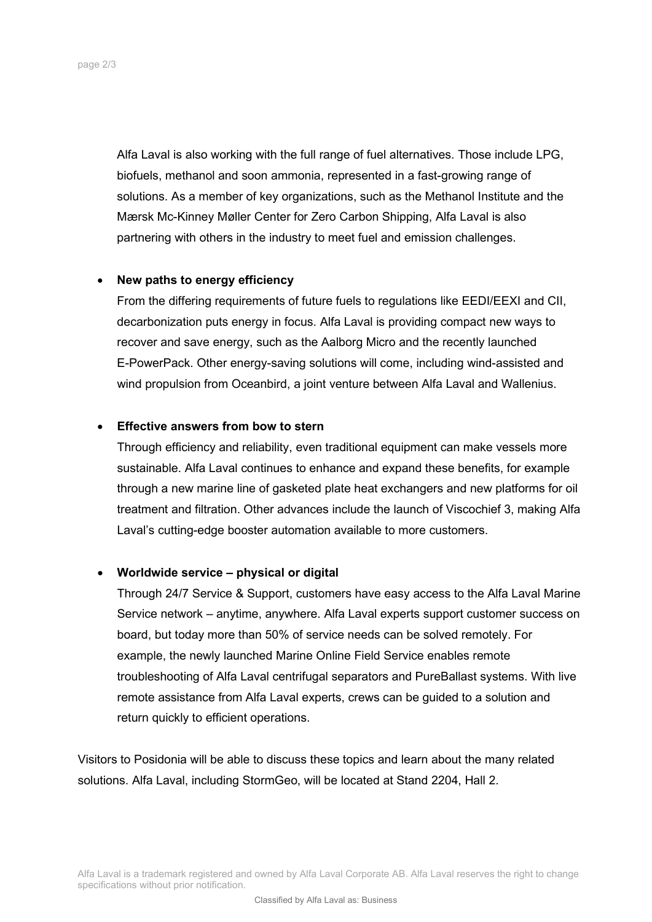Alfa Laval is also working with the full range of fuel alternatives. Those include LPG, biofuels, methanol and soon ammonia, represented in a fast-growing range of solutions. As a member of key organizations, such as the Methanol Institute and the Mærsk Mc-Kinney Møller Center for Zero Carbon Shipping, Alfa Laval is also partnering with others in the industry to meet fuel and emission challenges.

#### • **New paths to energy efficiency**

From the differing requirements of future fuels to regulations like EEDI/EEXI and CII, decarbonization puts energy in focus. Alfa Laval is providing compact new ways to recover and save energy, such as the Aalborg Micro and the recently launched E-PowerPack. Other energy-saving solutions will come, including wind-assisted and wind propulsion from Oceanbird, a joint venture between Alfa Laval and Wallenius.

#### • **Effective answers from bow to stern**

Through efficiency and reliability, even traditional equipment can make vessels more sustainable. Alfa Laval continues to enhance and expand these benefits, for example through a new marine line of gasketed plate heat exchangers and new platforms for oil treatment and filtration. Other advances include the launch of Viscochief 3, making Alfa Laval's cutting-edge booster automation available to more customers.

#### • **Worldwide service – physical or digital**

Through 24/7 Service & Support, customers have easy access to the Alfa Laval Marine Service network – anytime, anywhere. Alfa Laval experts support customer success on board, but today more than 50% of service needs can be solved remotely. For example, the newly launched Marine Online Field Service enables remote troubleshooting of Alfa Laval centrifugal separators and PureBallast systems. With live remote assistance from Alfa Laval experts, crews can be guided to a solution and return quickly to efficient operations.

Visitors to Posidonia will be able to discuss these topics and learn about the many related solutions. Alfa Laval, including StormGeo, will be located at Stand 2204, Hall 2.